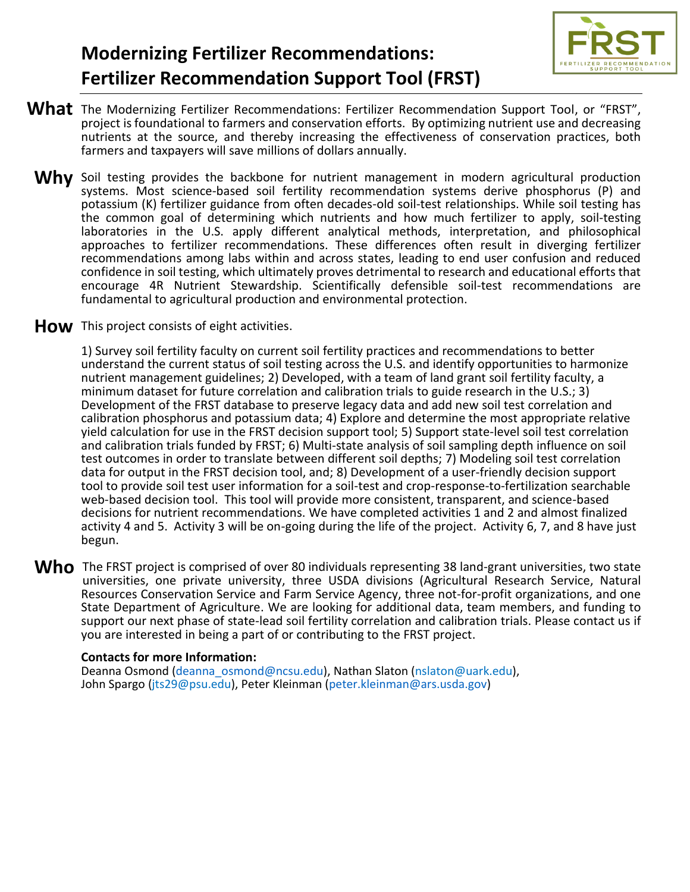

## **Modernizing Fertilizer Recommendations: Fertilizer Recommendation Support Tool (FRST)**

- What The Modernizing Fertilizer Recommendations: Fertilizer Recommendation Support Tool, or "FRST", project is foundational to farmers and conservation efforts. By optimizing nutrient use and decreasing nutrients at the source, and thereby increasing the effectiveness of conservation practices, both farmers and taxpayers will save millions of dollars annually.
	- Why Soil testing provides the backbone for nutrient management in modern agricultural production systems. Most science-based soil fertility recommendation systems derive phosphorus (P) and potassium (K) fertilizer guidance from often decades-old soil-test relationships. While soil testing has the common goal of determining which nutrients and how much fertilizer to apply, soil-testing laboratories in the U.S. apply different analytical methods, interpretation, and philosophical approaches to fertilizer recommendations. These differences often result in diverging fertilizer recommendations among labs within and across states, leading to end user confusion and reduced confidence in soil testing, which ultimately proves detrimental to research and educational efforts that encourage 4R Nutrient Stewardship. Scientifically defensible soil-test recommendations are fundamental to agricultural production and environmental protection.
- How This project consists of eight activities.

1) Survey soil fertility faculty on current soil fertility practices and recommendations to better understand the current status of soil testing across the U.S. and identify opportunities to harmonize nutrient management guidelines; 2) Developed, with a team of land grant soil fertility faculty, a minimum dataset for future correlation and calibration trials to guide research in the U.S.; 3) Development of the FRST database to preserve legacy data and add new soil test correlation and calibration phosphorus and potassium data; 4) Explore and determine the most appropriate relative yield calculation for use in the FRST decision support tool; 5) Support state-level soil test correlation and calibration trials funded by FRST; 6) Multi-state analysis of soil sampling depth influence on soil test outcomes in order to translate between different soil depths; 7) Modeling soil test correlation data for output in the FRST decision tool, and; 8) Development of a user-friendly decision support tool to provide soil test user information for a soil-test and crop-response-to-fertilization searchable web-based decision tool. This tool will provide more consistent, transparent, and science-based decisions for nutrient recommendations. We have completed activities 1 and 2 and almost finalized activity 4 and 5. Activity 3 will be on-going during the life of the project. Activity 6, 7, and 8 have just begun.

Who The FRST project is comprised of over 80 individuals representing 38 land-grant universities, two state is universities, one private university, three USDA divisions (Agricultural Research Service, Natural Resources Conservation Service and Farm Service Agency, three not-for-profit organizations, and one State Department of Agriculture. We are looking for additional data, team members, and funding to support our next phase of state-lead soil fertility correlation and calibration trials. Please contact us if you are interested in being a part of or contributing to the FRST project.

## **Contacts for more Information:**

Deanna Osmond [\(deanna\\_osmond@ncsu.edu\)](about:blank), Nathan Slaton (nslaton@uark.edu), John Spargo (jts29@psu.edu), Peter Kleinman [\(peter.kleinman@ars.usda.gov\)](about:blank)